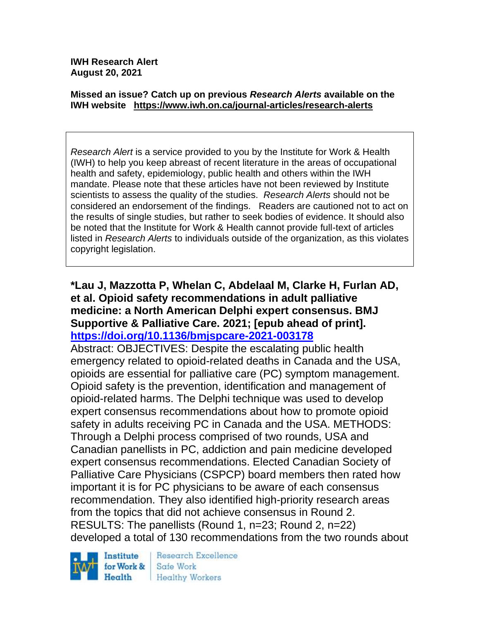**IWH Research Alert August 20, 2021**

#### **Missed an issue? Catch up on previous** *Research Alerts* **available on the [IWH website](http://www.iwh.on.ca/research-alerts) <https://www.iwh.on.ca/journal-articles/research-alerts>**

*Research Alert* is a service provided to you by the Institute for Work & Health (IWH) to help you keep abreast of recent literature in the areas of occupational health and safety, epidemiology, public health and others within the IWH mandate. Please note that these articles have not been reviewed by Institute scientists to assess the quality of the studies. *Research Alerts* should not be considered an endorsement of the findings. Readers are cautioned not to act on the results of single studies, but rather to seek bodies of evidence. It should also be noted that the Institute for Work & Health cannot provide full-text of articles listed in *Research Alerts* to individuals outside of the organization, as this violates copyright legislation.

#### **\*Lau J, Mazzotta P, Whelan C, Abdelaal M, Clarke H, Furlan AD, et al. Opioid safety recommendations in adult palliative medicine: a North American Delphi expert consensus. BMJ Supportive & Palliative Care. 2021; [epub ahead of print]. <https://doi.org/10.1136/bmjspcare-2021-003178>**

Abstract: OBJECTIVES: Despite the escalating public health emergency related to opioid-related deaths in Canada and the USA, opioids are essential for palliative care (PC) symptom management. Opioid safety is the prevention, identification and management of opioid-related harms. The Delphi technique was used to develop expert consensus recommendations about how to promote opioid safety in adults receiving PC in Canada and the USA. METHODS: Through a Delphi process comprised of two rounds, USA and Canadian panellists in PC, addiction and pain medicine developed expert consensus recommendations. Elected Canadian Society of Palliative Care Physicians (CSPCP) board members then rated how important it is for PC physicians to be aware of each consensus recommendation. They also identified high-priority research areas from the topics that did not achieve consensus in Round 2. RESULTS: The panellists (Round 1, n=23; Round 2, n=22) developed a total of 130 recommendations from the two rounds about



Research Excellence Safe Work **Healthy Workers**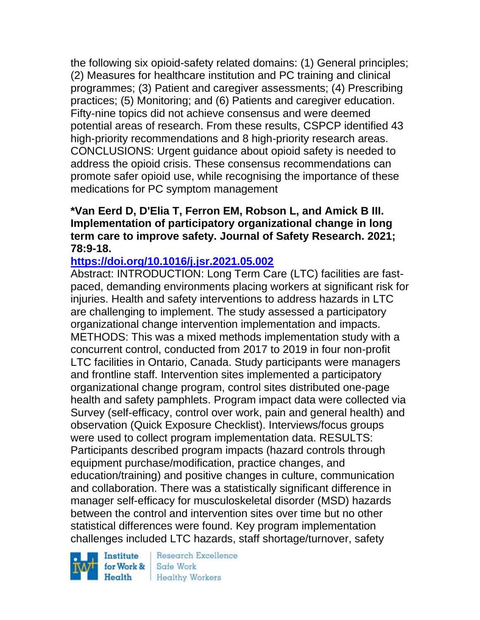the following six opioid-safety related domains: (1) General principles; (2) Measures for healthcare institution and PC training and clinical programmes; (3) Patient and caregiver assessments; (4) Prescribing practices; (5) Monitoring; and (6) Patients and caregiver education. Fifty-nine topics did not achieve consensus and were deemed potential areas of research. From these results, CSPCP identified 43 high-priority recommendations and 8 high-priority research areas. CONCLUSIONS: Urgent guidance about opioid safety is needed to address the opioid crisis. These consensus recommendations can promote safer opioid use, while recognising the importance of these medications for PC symptom management

### **\*Van Eerd D, D'Elia T, Ferron EM, Robson L, and Amick B III. Implementation of participatory organizational change in long term care to improve safety. Journal of Safety Research. 2021; 78:9-18.**

#### **<https://doi.org/10.1016/j.jsr.2021.05.002>**

Abstract: INTRODUCTION: Long Term Care (LTC) facilities are fastpaced, demanding environments placing workers at significant risk for injuries. Health and safety interventions to address hazards in LTC are challenging to implement. The study assessed a participatory organizational change intervention implementation and impacts. METHODS: This was a mixed methods implementation study with a concurrent control, conducted from 2017 to 2019 in four non-profit LTC facilities in Ontario, Canada. Study participants were managers and frontline staff. Intervention sites implemented a participatory organizational change program, control sites distributed one-page health and safety pamphlets. Program impact data were collected via Survey (self-efficacy, control over work, pain and general health) and observation (Quick Exposure Checklist). Interviews/focus groups were used to collect program implementation data. RESULTS: Participants described program impacts (hazard controls through equipment purchase/modification, practice changes, and education/training) and positive changes in culture, communication and collaboration. There was a statistically significant difference in manager self-efficacy for musculoskeletal disorder (MSD) hazards between the control and intervention sites over time but no other statistical differences were found. Key program implementation challenges included LTC hazards, staff shortage/turnover, safety

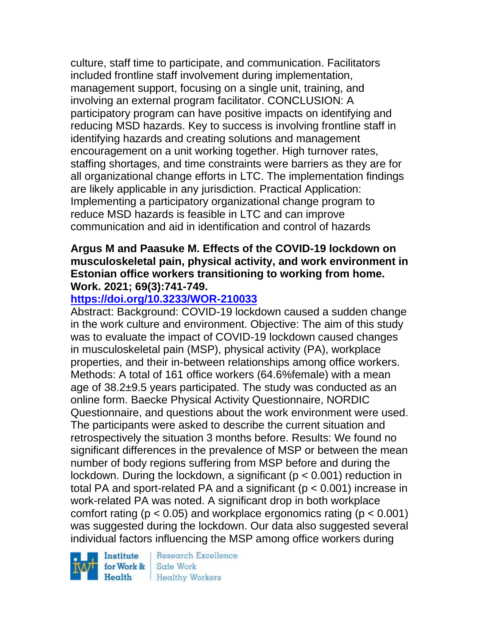culture, staff time to participate, and communication. Facilitators included frontline staff involvement during implementation, management support, focusing on a single unit, training, and involving an external program facilitator. CONCLUSION: A participatory program can have positive impacts on identifying and reducing MSD hazards. Key to success is involving frontline staff in identifying hazards and creating solutions and management encouragement on a unit working together. High turnover rates, staffing shortages, and time constraints were barriers as they are for all organizational change efforts in LTC. The implementation findings are likely applicable in any jurisdiction. Practical Application: Implementing a participatory organizational change program to reduce MSD hazards is feasible in LTC and can improve communication and aid in identification and control of hazards

#### **Argus M and Paasuke M. Effects of the COVID-19 lockdown on musculoskeletal pain, physical activity, and work environment in Estonian office workers transitioning to working from home. Work. 2021; 69(3):741-749.**

## **<https://doi.org/10.3233/WOR-210033>**

Abstract: Background: COVID-19 lockdown caused a sudden change in the work culture and environment. Objective: The aim of this study was to evaluate the impact of COVID-19 lockdown caused changes in musculoskeletal pain (MSP), physical activity (PA), workplace properties, and their in-between relationships among office workers. Methods: A total of 161 office workers (64.6%female) with a mean age of 38.2±9.5 years participated. The study was conducted as an online form. Baecke Physical Activity Questionnaire, NORDIC Questionnaire, and questions about the work environment were used. The participants were asked to describe the current situation and retrospectively the situation 3 months before. Results: We found no significant differences in the prevalence of MSP or between the mean number of body regions suffering from MSP before and during the lockdown. During the lockdown, a significant ( $p < 0.001$ ) reduction in total PA and sport-related PA and a significant (p < 0.001) increase in work-related PA was noted. A significant drop in both workplace comfort rating ( $p < 0.05$ ) and workplace ergonomics rating ( $p < 0.001$ ) was suggested during the lockdown. Our data also suggested several individual factors influencing the MSP among office workers during

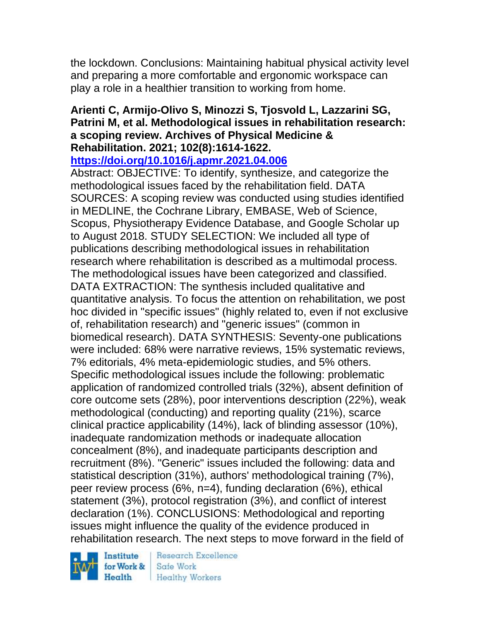the lockdown. Conclusions: Maintaining habitual physical activity level and preparing a more comfortable and ergonomic workspace can play a role in a healthier transition to working from home.

## **Arienti C, Armijo-Olivo S, Minozzi S, Tjosvold L, Lazzarini SG, Patrini M, et al. Methodological issues in rehabilitation research: a scoping review. Archives of Physical Medicine & Rehabilitation. 2021; 102(8):1614-1622.**

**<https://doi.org/10.1016/j.apmr.2021.04.006>** 

Abstract: OBJECTIVE: To identify, synthesize, and categorize the methodological issues faced by the rehabilitation field. DATA SOURCES: A scoping review was conducted using studies identified in MEDLINE, the Cochrane Library, EMBASE, Web of Science, Scopus, Physiotherapy Evidence Database, and Google Scholar up to August 2018. STUDY SELECTION: We included all type of publications describing methodological issues in rehabilitation research where rehabilitation is described as a multimodal process. The methodological issues have been categorized and classified. DATA EXTRACTION: The synthesis included qualitative and quantitative analysis. To focus the attention on rehabilitation, we post hoc divided in "specific issues" (highly related to, even if not exclusive of, rehabilitation research) and "generic issues" (common in biomedical research). DATA SYNTHESIS: Seventy-one publications were included: 68% were narrative reviews, 15% systematic reviews, 7% editorials, 4% meta-epidemiologic studies, and 5% others. Specific methodological issues include the following: problematic application of randomized controlled trials (32%), absent definition of core outcome sets (28%), poor interventions description (22%), weak methodological (conducting) and reporting quality (21%), scarce clinical practice applicability (14%), lack of blinding assessor (10%), inadequate randomization methods or inadequate allocation concealment (8%), and inadequate participants description and recruitment (8%). "Generic" issues included the following: data and statistical description (31%), authors' methodological training (7%), peer review process (6%, n=4), funding declaration (6%), ethical statement (3%), protocol registration (3%), and conflict of interest declaration (1%). CONCLUSIONS: Methodological and reporting issues might influence the quality of the evidence produced in rehabilitation research. The next steps to move forward in the field of

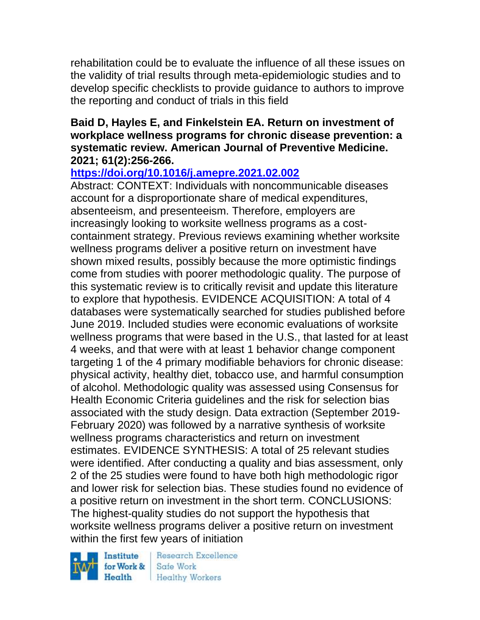rehabilitation could be to evaluate the influence of all these issues on the validity of trial results through meta-epidemiologic studies and to develop specific checklists to provide guidance to authors to improve the reporting and conduct of trials in this field

#### **Baid D, Hayles E, and Finkelstein EA. Return on investment of workplace wellness programs for chronic disease prevention: a systematic review. American Journal of Preventive Medicine. 2021; 61(2):256-266.**

# **<https://doi.org/10.1016/j.amepre.2021.02.002>**

Abstract: CONTEXT: Individuals with noncommunicable diseases account for a disproportionate share of medical expenditures, absenteeism, and presenteeism. Therefore, employers are increasingly looking to worksite wellness programs as a costcontainment strategy. Previous reviews examining whether worksite wellness programs deliver a positive return on investment have shown mixed results, possibly because the more optimistic findings come from studies with poorer methodologic quality. The purpose of this systematic review is to critically revisit and update this literature to explore that hypothesis. EVIDENCE ACQUISITION: A total of 4 databases were systematically searched for studies published before June 2019. Included studies were economic evaluations of worksite wellness programs that were based in the U.S., that lasted for at least 4 weeks, and that were with at least 1 behavior change component targeting 1 of the 4 primary modifiable behaviors for chronic disease: physical activity, healthy diet, tobacco use, and harmful consumption of alcohol. Methodologic quality was assessed using Consensus for Health Economic Criteria guidelines and the risk for selection bias associated with the study design. Data extraction (September 2019- February 2020) was followed by a narrative synthesis of worksite wellness programs characteristics and return on investment estimates. EVIDENCE SYNTHESIS: A total of 25 relevant studies were identified. After conducting a quality and bias assessment, only 2 of the 25 studies were found to have both high methodologic rigor and lower risk for selection bias. These studies found no evidence of a positive return on investment in the short term. CONCLUSIONS: The highest-quality studies do not support the hypothesis that worksite wellness programs deliver a positive return on investment within the first few years of initiation

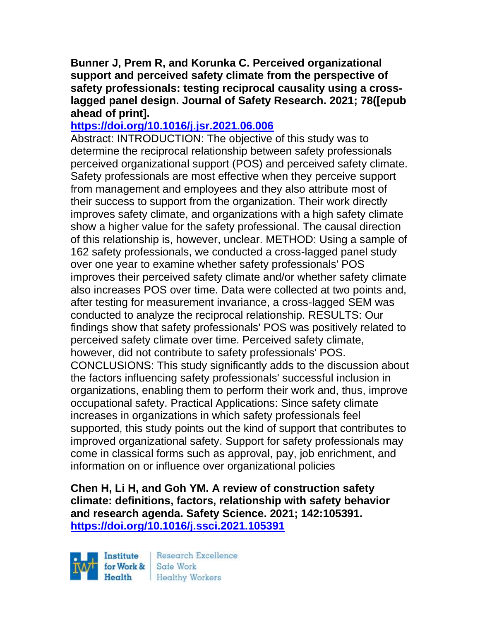**Bunner J, Prem R, and Korunka C. Perceived organizational support and perceived safety climate from the perspective of safety professionals: testing reciprocal causality using a crosslagged panel design. Journal of Safety Research. 2021; 78([epub ahead of print].**

### **<https://doi.org/10.1016/j.jsr.2021.06.006>**

Abstract: INTRODUCTION: The objective of this study was to determine the reciprocal relationship between safety professionals perceived organizational support (POS) and perceived safety climate. Safety professionals are most effective when they perceive support from management and employees and they also attribute most of their success to support from the organization. Their work directly improves safety climate, and organizations with a high safety climate show a higher value for the safety professional. The causal direction of this relationship is, however, unclear. METHOD: Using a sample of 162 safety professionals, we conducted a cross-lagged panel study over one year to examine whether safety professionals' POS improves their perceived safety climate and/or whether safety climate also increases POS over time. Data were collected at two points and, after testing for measurement invariance, a cross-lagged SEM was conducted to analyze the reciprocal relationship. RESULTS: Our findings show that safety professionals' POS was positively related to perceived safety climate over time. Perceived safety climate, however, did not contribute to safety professionals' POS. CONCLUSIONS: This study significantly adds to the discussion about the factors influencing safety professionals' successful inclusion in organizations, enabling them to perform their work and, thus, improve occupational safety. Practical Applications: Since safety climate increases in organizations in which safety professionals feel supported, this study points out the kind of support that contributes to improved organizational safety. Support for safety professionals may come in classical forms such as approval, pay, job enrichment, and information on or influence over organizational policies

**Chen H, Li H, and Goh YM. A review of construction safety climate: definitions, factors, relationship with safety behavior and research agenda. Safety Science. 2021; 142:105391. <https://doi.org/10.1016/j.ssci.2021.105391>** 



Research Excellence Healthy Workers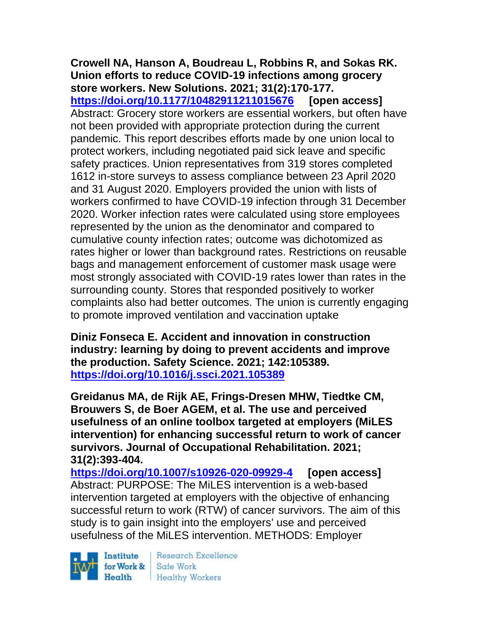#### **Crowell NA, Hanson A, Boudreau L, Robbins R, and Sokas RK. Union efforts to reduce COVID-19 infections among grocery store workers. New Solutions. 2021; 31(2):170-177.**

**<https://doi.org/10.1177/10482911211015676> [open access]** Abstract: Grocery store workers are essential workers, but often have not been provided with appropriate protection during the current pandemic. This report describes efforts made by one union local to protect workers, including negotiated paid sick leave and specific safety practices. Union representatives from 319 stores completed 1612 in-store surveys to assess compliance between 23 April 2020 and 31 August 2020. Employers provided the union with lists of workers confirmed to have COVID-19 infection through 31 December 2020. Worker infection rates were calculated using store employees represented by the union as the denominator and compared to cumulative county infection rates; outcome was dichotomized as rates higher or lower than background rates. Restrictions on reusable bags and management enforcement of customer mask usage were most strongly associated with COVID-19 rates lower than rates in the surrounding county. Stores that responded positively to worker complaints also had better outcomes. The union is currently engaging to promote improved ventilation and vaccination uptake

**Diniz Fonseca E. Accident and innovation in construction industry: learning by doing to prevent accidents and improve the production. Safety Science. 2021; 142:105389. <https://doi.org/10.1016/j.ssci.2021.105389>** 

**Greidanus MA, de Rijk AE, Frings-Dresen MHW, Tiedtke CM, Brouwers S, de Boer AGEM, et al. The use and perceived usefulness of an online toolbox targeted at employers (MiLES intervention) for enhancing successful return to work of cancer survivors. Journal of Occupational Rehabilitation. 2021; 31(2):393-404.** 

**<https://doi.org/10.1007/s10926-020-09929-4> [open access]** Abstract: PURPOSE: The MiLES intervention is a web-based intervention targeted at employers with the objective of enhancing successful return to work (RTW) of cancer survivors. The aim of this study is to gain insight into the employers' use and perceived usefulness of the MiLES intervention. METHODS: Employer

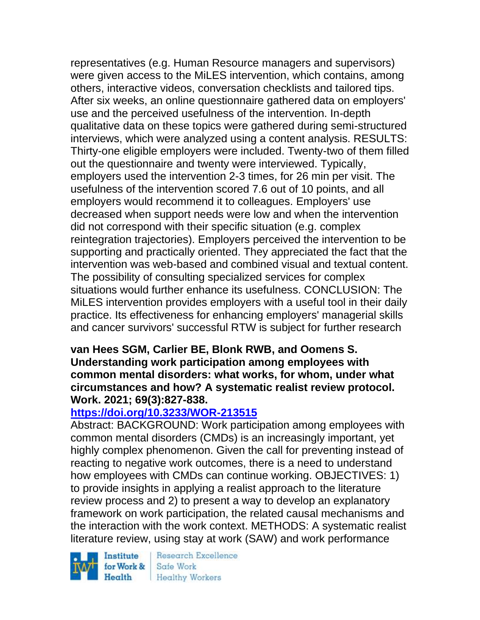representatives (e.g. Human Resource managers and supervisors) were given access to the MiLES intervention, which contains, among others, interactive videos, conversation checklists and tailored tips. After six weeks, an online questionnaire gathered data on employers' use and the perceived usefulness of the intervention. In-depth qualitative data on these topics were gathered during semi-structured interviews, which were analyzed using a content analysis. RESULTS: Thirty-one eligible employers were included. Twenty-two of them filled out the questionnaire and twenty were interviewed. Typically, employers used the intervention 2-3 times, for 26 min per visit. The usefulness of the intervention scored 7.6 out of 10 points, and all employers would recommend it to colleagues. Employers' use decreased when support needs were low and when the intervention did not correspond with their specific situation (e.g. complex reintegration trajectories). Employers perceived the intervention to be supporting and practically oriented. They appreciated the fact that the intervention was web-based and combined visual and textual content. The possibility of consulting specialized services for complex situations would further enhance its usefulness. CONCLUSION: The MiLES intervention provides employers with a useful tool in their daily practice. Its effectiveness for enhancing employers' managerial skills and cancer survivors' successful RTW is subject for further research

#### **van Hees SGM, Carlier BE, Blonk RWB, and Oomens S. Understanding work participation among employees with common mental disorders: what works, for whom, under what circumstances and how? A systematic realist review protocol. Work. 2021; 69(3):827-838.**

## **<https://doi.org/10.3233/WOR-213515>**

Abstract: BACKGROUND: Work participation among employees with common mental disorders (CMDs) is an increasingly important, yet highly complex phenomenon. Given the call for preventing instead of reacting to negative work outcomes, there is a need to understand how employees with CMDs can continue working. OBJECTIVES: 1) to provide insights in applying a realist approach to the literature review process and 2) to present a way to develop an explanatory framework on work participation, the related causal mechanisms and the interaction with the work context. METHODS: A systematic realist literature review, using stay at work (SAW) and work performance

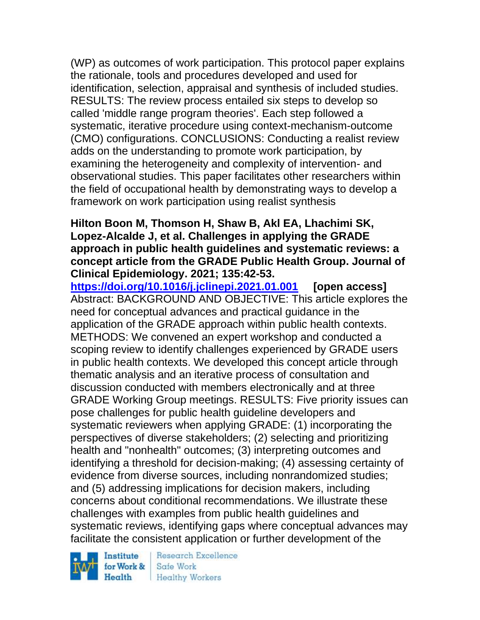(WP) as outcomes of work participation. This protocol paper explains the rationale, tools and procedures developed and used for identification, selection, appraisal and synthesis of included studies. RESULTS: The review process entailed six steps to develop so called 'middle range program theories'. Each step followed a systematic, iterative procedure using context-mechanism-outcome (CMO) configurations. CONCLUSIONS: Conducting a realist review adds on the understanding to promote work participation, by examining the heterogeneity and complexity of intervention- and observational studies. This paper facilitates other researchers within the field of occupational health by demonstrating ways to develop a framework on work participation using realist synthesis

#### **Hilton Boon M, Thomson H, Shaw B, Akl EA, Lhachimi SK, Lopez-Alcalde J, et al. Challenges in applying the GRADE approach in public health guidelines and systematic reviews: a concept article from the GRADE Public Health Group. Journal of Clinical Epidemiology. 2021; 135:42-53.**

**<https://doi.org/10.1016/j.jclinepi.2021.01.001> [open access]** Abstract: BACKGROUND AND OBJECTIVE: This article explores the need for conceptual advances and practical guidance in the application of the GRADE approach within public health contexts. METHODS: We convened an expert workshop and conducted a scoping review to identify challenges experienced by GRADE users in public health contexts. We developed this concept article through thematic analysis and an iterative process of consultation and discussion conducted with members electronically and at three GRADE Working Group meetings. RESULTS: Five priority issues can pose challenges for public health guideline developers and systematic reviewers when applying GRADE: (1) incorporating the perspectives of diverse stakeholders; (2) selecting and prioritizing health and "nonhealth" outcomes; (3) interpreting outcomes and identifying a threshold for decision-making; (4) assessing certainty of evidence from diverse sources, including nonrandomized studies; and (5) addressing implications for decision makers, including concerns about conditional recommendations. We illustrate these challenges with examples from public health guidelines and systematic reviews, identifying gaps where conceptual advances may facilitate the consistent application or further development of the

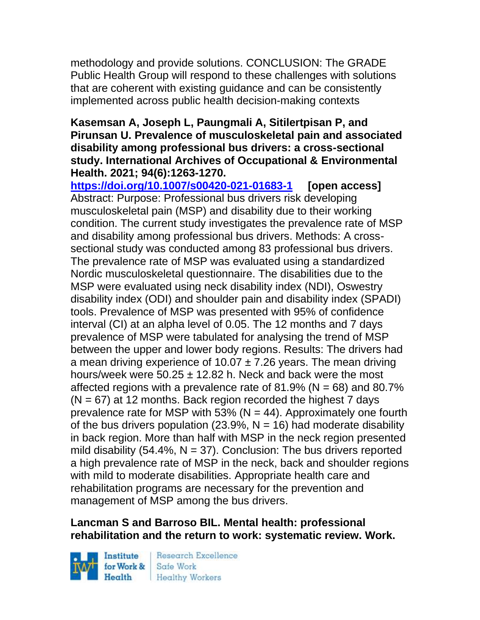methodology and provide solutions. CONCLUSION: The GRADE Public Health Group will respond to these challenges with solutions that are coherent with existing guidance and can be consistently implemented across public health decision-making contexts

#### **Kasemsan A, Joseph L, Paungmali A, Sitilertpisan P, and Pirunsan U. Prevalence of musculoskeletal pain and associated disability among professional bus drivers: a cross-sectional study. International Archives of Occupational & Environmental Health. 2021; 94(6):1263-1270.**

**<https://doi.org/10.1007/s00420-021-01683-1> [open access]** Abstract: Purpose: Professional bus drivers risk developing musculoskeletal pain (MSP) and disability due to their working condition. The current study investigates the prevalence rate of MSP and disability among professional bus drivers. Methods: A crosssectional study was conducted among 83 professional bus drivers. The prevalence rate of MSP was evaluated using a standardized Nordic musculoskeletal questionnaire. The disabilities due to the MSP were evaluated using neck disability index (NDI), Oswestry disability index (ODI) and shoulder pain and disability index (SPADI) tools. Prevalence of MSP was presented with 95% of confidence interval (CI) at an alpha level of 0.05. The 12 months and 7 days prevalence of MSP were tabulated for analysing the trend of MSP between the upper and lower body regions. Results: The drivers had a mean driving experience of 10.07  $\pm$  7.26 years. The mean driving hours/week were  $50.25 \pm 12.82$  h. Neck and back were the most affected regions with a prevalence rate of 81.9% ( $N = 68$ ) and 80.7%  $(N = 67)$  at 12 months. Back region recorded the highest 7 days prevalence rate for MSP with 53% ( $N = 44$ ). Approximately one fourth of the bus drivers population (23.9%,  $N = 16$ ) had moderate disability in back region. More than half with MSP in the neck region presented mild disability (54.4%,  $N = 37$ ). Conclusion: The bus drivers reported a high prevalence rate of MSP in the neck, back and shoulder regions with mild to moderate disabilities. Appropriate health care and rehabilitation programs are necessary for the prevention and management of MSP among the bus drivers.

## **Lancman S and Barroso BIL. Mental health: professional rehabilitation and the return to work: systematic review. Work.**

Institute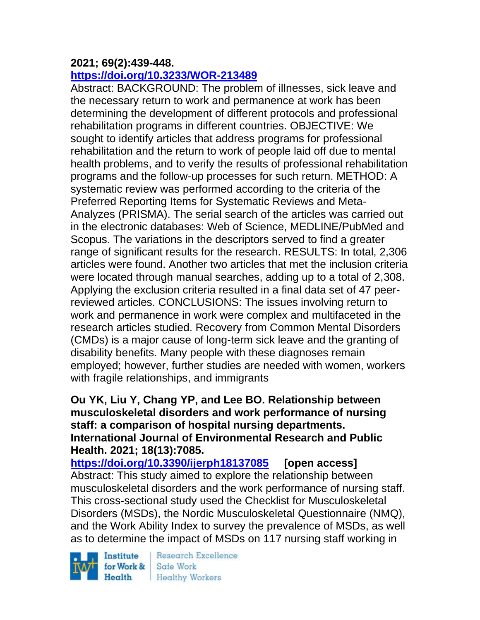### **2021; 69(2):439-448.**

### **<https://doi.org/10.3233/WOR-213489>**

Abstract: BACKGROUND: The problem of illnesses, sick leave and the necessary return to work and permanence at work has been determining the development of different protocols and professional rehabilitation programs in different countries. OBJECTIVE: We sought to identify articles that address programs for professional rehabilitation and the return to work of people laid off due to mental health problems, and to verify the results of professional rehabilitation programs and the follow-up processes for such return. METHOD: A systematic review was performed according to the criteria of the Preferred Reporting Items for Systematic Reviews and Meta-Analyzes (PRISMA). The serial search of the articles was carried out in the electronic databases: Web of Science, MEDLINE/PubMed and Scopus. The variations in the descriptors served to find a greater range of significant results for the research. RESULTS: In total, 2,306 articles were found. Another two articles that met the inclusion criteria were located through manual searches, adding up to a total of 2,308. Applying the exclusion criteria resulted in a final data set of 47 peerreviewed articles. CONCLUSIONS: The issues involving return to work and permanence in work were complex and multifaceted in the research articles studied. Recovery from Common Mental Disorders (CMDs) is a major cause of long-term sick leave and the granting of disability benefits. Many people with these diagnoses remain employed; however, further studies are needed with women, workers with fragile relationships, and immigrants

#### **Ou YK, Liu Y, Chang YP, and Lee BO. Relationship between musculoskeletal disorders and work performance of nursing staff: a comparison of hospital nursing departments. International Journal of Environmental Research and Public Health. 2021; 18(13):7085.**

**<https://doi.org/10.3390/ijerph18137085> [open access]** Abstract: This study aimed to explore the relationship between musculoskeletal disorders and the work performance of nursing staff. This cross-sectional study used the Checklist for Musculoskeletal Disorders (MSDs), the Nordic Musculoskeletal Questionnaire (NMQ), and the Work Ability Index to survey the prevalence of MSDs, as well as to determine the impact of MSDs on 117 nursing staff working in

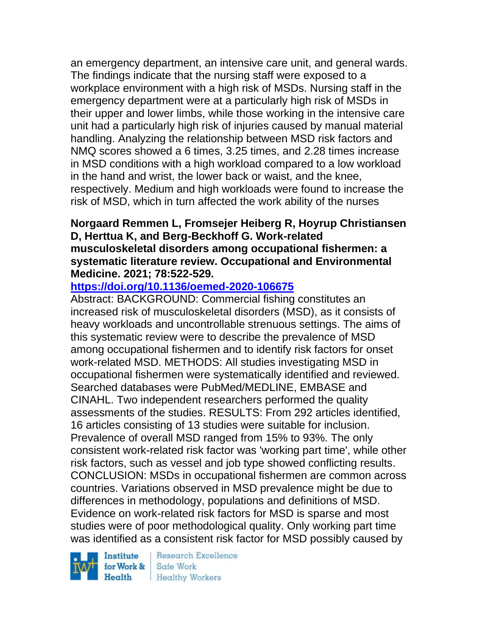an emergency department, an intensive care unit, and general wards. The findings indicate that the nursing staff were exposed to a workplace environment with a high risk of MSDs. Nursing staff in the emergency department were at a particularly high risk of MSDs in their upper and lower limbs, while those working in the intensive care unit had a particularly high risk of injuries caused by manual material handling. Analyzing the relationship between MSD risk factors and NMQ scores showed a 6 times, 3.25 times, and 2.28 times increase in MSD conditions with a high workload compared to a low workload in the hand and wrist, the lower back or waist, and the knee, respectively. Medium and high workloads were found to increase the risk of MSD, which in turn affected the work ability of the nurses

#### **Norgaard Remmen L, Fromsejer Heiberg R, Hoyrup Christiansen D, Herttua K, and Berg-Beckhoff G. Work-related musculoskeletal disorders among occupational fishermen: a systematic literature review. Occupational and Environmental Medicine. 2021; 78:522-529.**

## **<https://doi.org/10.1136/oemed-2020-106675>**

Abstract: BACKGROUND: Commercial fishing constitutes an increased risk of musculoskeletal disorders (MSD), as it consists of heavy workloads and uncontrollable strenuous settings. The aims of this systematic review were to describe the prevalence of MSD among occupational fishermen and to identify risk factors for onset work-related MSD. METHODS: All studies investigating MSD in occupational fishermen were systematically identified and reviewed. Searched databases were PubMed/MEDLINE, EMBASE and CINAHL. Two independent researchers performed the quality assessments of the studies. RESULTS: From 292 articles identified, 16 articles consisting of 13 studies were suitable for inclusion. Prevalence of overall MSD ranged from 15% to 93%. The only consistent work-related risk factor was 'working part time', while other risk factors, such as vessel and job type showed conflicting results. CONCLUSION: MSDs in occupational fishermen are common across countries. Variations observed in MSD prevalence might be due to differences in methodology, populations and definitions of MSD. Evidence on work-related risk factors for MSD is sparse and most studies were of poor methodological quality. Only working part time was identified as a consistent risk factor for MSD possibly caused by

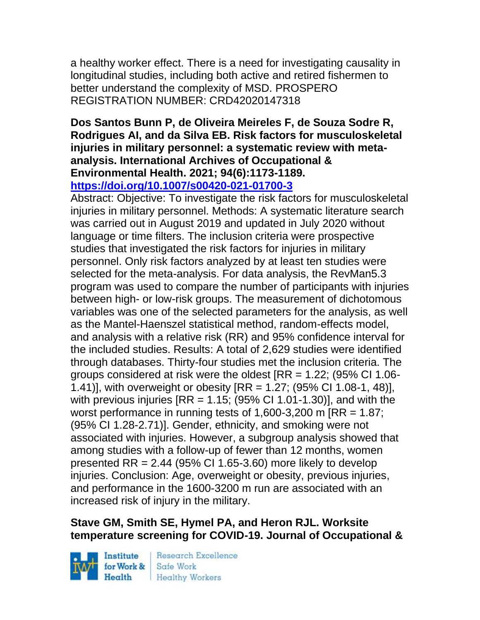a healthy worker effect. There is a need for investigating causality in longitudinal studies, including both active and retired fishermen to better understand the complexity of MSD. PROSPERO REGISTRATION NUMBER: CRD42020147318

# **Dos Santos Bunn P, de Oliveira Meireles F, de Souza Sodre R, Rodrigues AI, and da Silva EB. Risk factors for musculoskeletal injuries in military personnel: a systematic review with metaanalysis. International Archives of Occupational & Environmental Health. 2021; 94(6):1173-1189.**

**<https://doi.org/10.1007/s00420-021-01700-3>** 

Abstract: Objective: To investigate the risk factors for musculoskeletal injuries in military personnel. Methods: A systematic literature search was carried out in August 2019 and updated in July 2020 without language or time filters. The inclusion criteria were prospective studies that investigated the risk factors for injuries in military personnel. Only risk factors analyzed by at least ten studies were selected for the meta-analysis. For data analysis, the RevMan5.3 program was used to compare the number of participants with injuries between high- or low-risk groups. The measurement of dichotomous variables was one of the selected parameters for the analysis, as well as the Mantel-Haenszel statistical method, random-effects model, and analysis with a relative risk (RR) and 95% confidence interval for the included studies. Results: A total of 2,629 studies were identified through databases. Thirty-four studies met the inclusion criteria. The groups considered at risk were the oldest [RR = 1.22; (95% CI 1.06- 1.41)], with overweight or obesity [RR = 1.27; (95% CI 1.08-1, 48)], with previous injuries  $[RR = 1.15; (95\% \text{ CI} 1.01-1.30)]$ , and with the worst performance in running tests of 1,600-3,200 m  $\text{IRR} = 1.87$ ; (95% CI 1.28-2.71)]. Gender, ethnicity, and smoking were not associated with injuries. However, a subgroup analysis showed that among studies with a follow-up of fewer than 12 months, women presented  $RR = 2.44$  (95% CI 1.65-3.60) more likely to develop injuries. Conclusion: Age, overweight or obesity, previous injuries, and performance in the 1600-3200 m run are associated with an increased risk of injury in the military.

## **Stave GM, Smith SE, Hymel PA, and Heron RJL. Worksite temperature screening for COVID-19. Journal of Occupational &**

Institute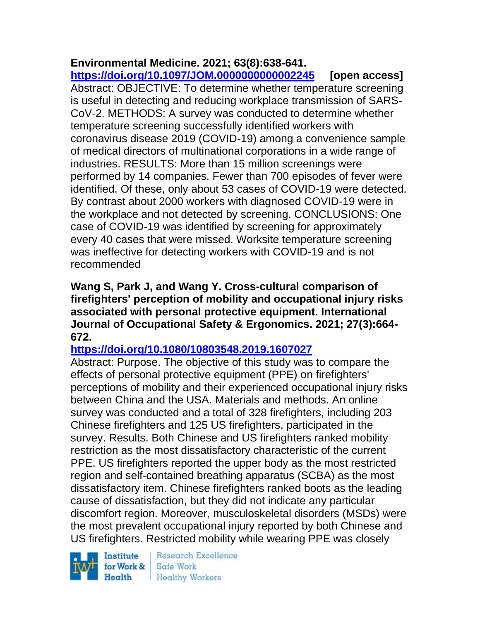# **Environmental Medicine. 2021; 63(8):638-641.**

**<https://doi.org/10.1097/JOM.0000000000002245> [open access]** Abstract: OBJECTIVE: To determine whether temperature screening is useful in detecting and reducing workplace transmission of SARS-CoV-2. METHODS: A survey was conducted to determine whether temperature screening successfully identified workers with coronavirus disease 2019 (COVID-19) among a convenience sample of medical directors of multinational corporations in a wide range of industries. RESULTS: More than 15 million screenings were performed by 14 companies. Fewer than 700 episodes of fever were identified. Of these, only about 53 cases of COVID-19 were detected. By contrast about 2000 workers with diagnosed COVID-19 were in the workplace and not detected by screening. CONCLUSIONS: One case of COVID-19 was identified by screening for approximately every 40 cases that were missed. Worksite temperature screening was ineffective for detecting workers with COVID-19 and is not recommended

**Wang S, Park J, and Wang Y. Cross-cultural comparison of firefighters' perception of mobility and occupational injury risks associated with personal protective equipment. International Journal of Occupational Safety & Ergonomics. 2021; 27(3):664- 672.** 

## **<https://doi.org/10.1080/10803548.2019.1607027>**

Abstract: Purpose. The objective of this study was to compare the effects of personal protective equipment (PPE) on firefighters' perceptions of mobility and their experienced occupational injury risks between China and the USA. Materials and methods. An online survey was conducted and a total of 328 firefighters, including 203 Chinese firefighters and 125 US firefighters, participated in the survey. Results. Both Chinese and US firefighters ranked mobility restriction as the most dissatisfactory characteristic of the current PPE. US firefighters reported the upper body as the most restricted region and self-contained breathing apparatus (SCBA) as the most dissatisfactory item. Chinese firefighters ranked boots as the leading cause of dissatisfaction, but they did not indicate any particular discomfort region. Moreover, musculoskeletal disorders (MSDs) were the most prevalent occupational injury reported by both Chinese and US firefighters. Restricted mobility while wearing PPE was closely